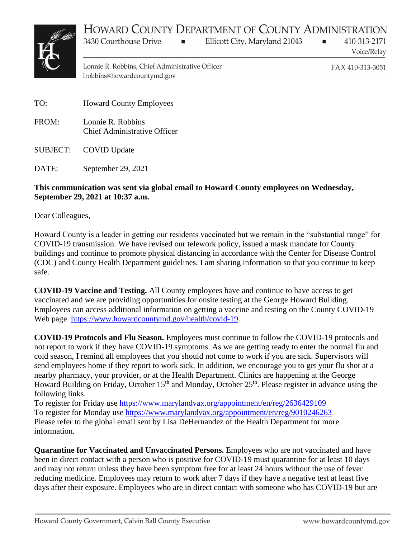## HOWARD COUNTY DEPARTMENT OF COUNTY ADMINISTRATION



Ellicott City, Maryland 21043

410-313-2171 Voice/Relay

Lonnie R. Robbins, Chief Administrative Officer lrobbins@howardcountymd.gov

 $\blacksquare$ 

FAX 410-313-3051

 $\blacksquare$ 

TO: Howard County Employees

3430 Courthouse Drive

- FROM: Lonnie R. Robbins Chief Administrative Officer
- SUBJECT: COVID Update
- DATE: September 29, 2021

## **This communication was sent via global email to Howard County employees on Wednesday, September 29, 2021 at 10:37 a.m.**

Dear Colleagues,

Howard County is a leader in getting our residents vaccinated but we remain in the "substantial range" for COVID-19 transmission. We have revised our telework policy, issued a mask mandate for County buildings and continue to promote physical distancing in accordance with the Center for Disease Control (CDC) and County Health Department guidelines. I am sharing information so that you continue to keep safe.

**COVID-19 Vaccine and Testing.** All County employees have and continue to have access to get vaccinated and we are providing opportunities for onsite testing at the George Howard Building. Employees can access additional information on getting a vaccine and testing on the County COVID-19 Web page [https://www.howardcountymd.gov/health/covid-19.](https://gcc02.safelinks.protection.outlook.com/?url=https%3A%2F%2Fwww.howardcountymd.gov%2Fhealth%2Fcovid-19&data=04%7C01%7Cdwilson%40howardcountymd.gov%7Cb25a05fa1995472f4fc708d9835692db%7C0538130803664bb7a95b95304bd11a58%7C1%7C0%7C637685230289269173%7CUnknown%7CTWFpbGZsb3d8eyJWIjoiMC4wLjAwMDAiLCJQIjoiV2luMzIiLCJBTiI6Ik1haWwiLCJXVCI6Mn0%3D%7C1000&sdata=eP4pN9cwU%2BSeoRUEJ9AiSWiniUD60DV1i%2Fd7NN7A0wA%3D&reserved=0)

**COVID-19 Protocols and Flu Season.** Employees must continue to follow the COVID-19 protocols and not report to work if they have COVID-19 symptoms. As we are getting ready to enter the normal flu and cold season, I remind all employees that you should not come to work if you are sick. Supervisors will send employees home if they report to work sick. In addition, we encourage you to get your flu shot at a nearby pharmacy, your provider, or at the Health Department. Clinics are happening at the George Howard Building on Friday, October 15<sup>th</sup> and Monday, October 25<sup>th</sup>. Please register in advance using the following links.

To register for Friday use [https://www.marylandvax.org/appointment/en/reg/2636429109](https://gcc02.safelinks.protection.outlook.com/?url=https%3A%2F%2Fwww.marylandvax.org%2Fappointment%2Fen%2Freg%2F2636429109&data=04%7C01%7Cdwilson%40howardcountymd.gov%7Cb25a05fa1995472f4fc708d9835692db%7C0538130803664bb7a95b95304bd11a58%7C1%7C0%7C637685230289279135%7CUnknown%7CTWFpbGZsb3d8eyJWIjoiMC4wLjAwMDAiLCJQIjoiV2luMzIiLCJBTiI6Ik1haWwiLCJXVCI6Mn0%3D%7C1000&sdata=6LB6zAko83zjhNf%2FtF9iPKDfVCq0o4TTRjdqjIzLAlw%3D&reserved=0) To register for Monday use [https://www.marylandvax.org/appointment/en/reg/9010246263](https://gcc02.safelinks.protection.outlook.com/?url=https%3A%2F%2Fwww.marylandvax.org%2Fappointment%2Fen%2Freg%2F9010246263&data=04%7C01%7Cdwilson%40howardcountymd.gov%7Cb25a05fa1995472f4fc708d9835692db%7C0538130803664bb7a95b95304bd11a58%7C1%7C0%7C637685230289284109%7CUnknown%7CTWFpbGZsb3d8eyJWIjoiMC4wLjAwMDAiLCJQIjoiV2luMzIiLCJBTiI6Ik1haWwiLCJXVCI6Mn0%3D%7C1000&sdata=aqubGL3JrfrW9M0brAfSxr0P6hKzpU%2F71uYpQEu4gQs%3D&reserved=0) Please refer to the global email sent by Lisa DeHernandez of the Health Department for more information.

**Quarantine for Vaccinated and Unvaccinated Persons.** Employees who are not vaccinated and have been in direct contact with a person who is positive for COVID-19 must quarantine for at least 10 days and may not return unless they have been symptom free for at least 24 hours without the use of fever reducing medicine. Employees may return to work after 7 days if they have a negative test at least five days after their exposure. Employees who are in direct contact with someone who has COVID-19 but are